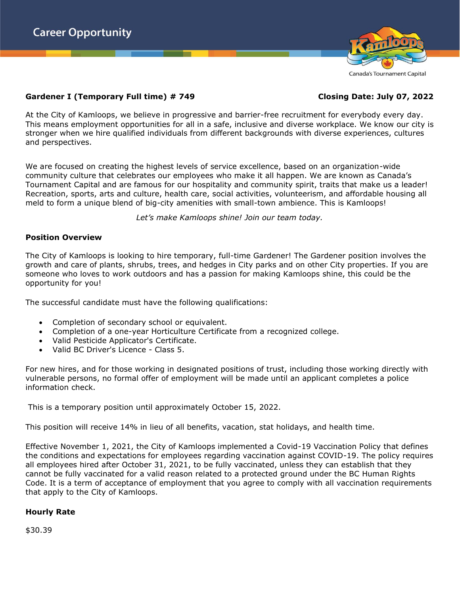

# **Gardener I (Temporary Full time) # 749 Closing Date: July 07, 2022**

At the City of Kamloops, we believe in progressive and barrier-free recruitment for everybody every day. This means employment opportunities for all in a safe, inclusive and diverse workplace. We know our city is stronger when we hire qualified individuals from different backgrounds with diverse experiences, cultures and perspectives.

We are focused on creating the highest levels of service excellence, based on an organization-wide community culture that celebrates our employees who make it all happen. We are known as Canada's Tournament Capital and are famous for our hospitality and community spirit, traits that make us a leader! Recreation, sports, arts and culture, health care, social activities, volunteerism, and affordable housing all meld to form a unique blend of big-city amenities with small-town ambience. This is Kamloops!

*Let's make Kamloops shine! Join our team today.*

## **Position Overview**

The City of Kamloops is looking to hire temporary, full-time Gardener! The Gardener position involves the growth and care of plants, shrubs, trees, and hedges in City parks and on other City properties. If you are someone who loves to work outdoors and has a passion for making Kamloops shine, this could be the opportunity for you!

The successful candidate must have the following qualifications:

- Completion of secondary school or equivalent.
- Completion of a one-year Horticulture Certificate from a recognized college.
- Valid Pesticide Applicator's Certificate.
- Valid BC Driver's Licence Class 5.

For new hires, and for those working in designated positions of trust, including those working directly with vulnerable persons, no formal offer of employment will be made until an applicant completes a police information check.

This is a temporary position until approximately October 15, 2022.

This position will receive 14% in lieu of all benefits, vacation, stat holidays, and health time.

Effective November 1, 2021, the City of Kamloops implemented a Covid-19 Vaccination Policy that defines the conditions and expectations for employees regarding vaccination against COVID-19. The policy requires all employees hired after October 31, 2021, to be fully vaccinated, unless they can establish that they cannot be fully vaccinated for a valid reason related to a protected ground under the BC Human Rights Code. It is a term of acceptance of employment that you agree to comply with all vaccination requirements that apply to the City of Kamloops.

## **Hourly Rate**

\$30.39